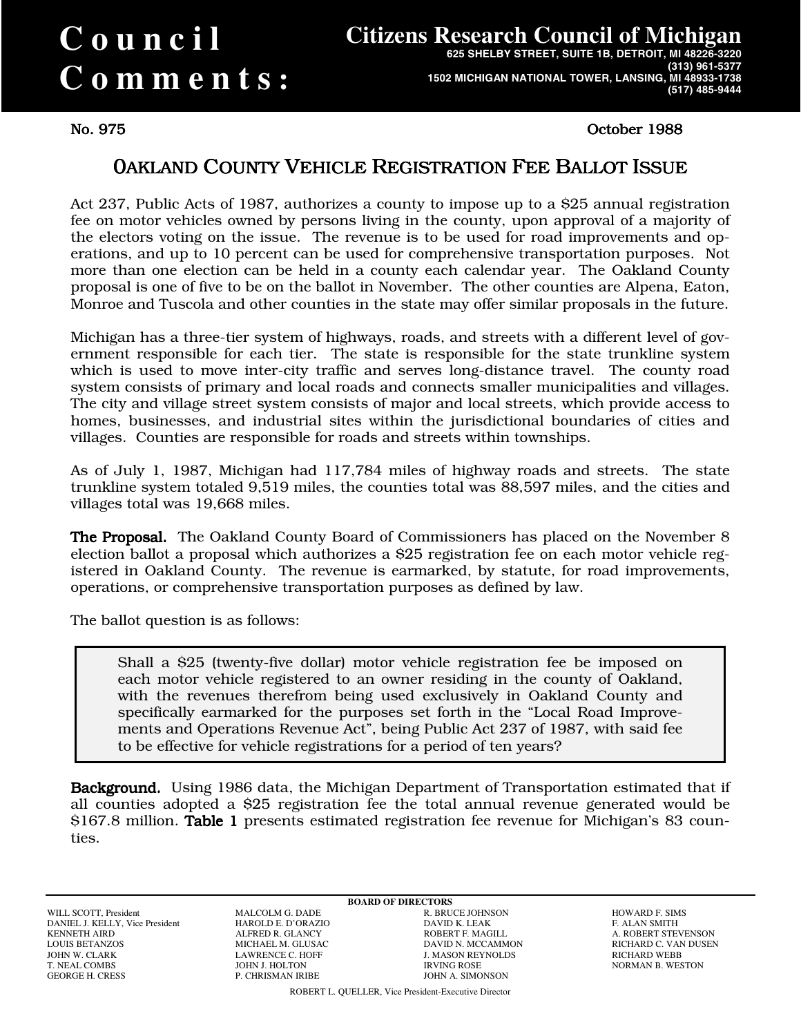# **Council Comments :**

## **Citizens Research Council of Michigan**

**625 SHELBY STREET, SUITE 1B, DETROIT, MI 48226-3220 (313) 961-5377 1502 MICHIGAN NATIONAL TOWER, LANSING, MI 48933-1738 (517) 485-9444**

No. 975 October 1988 No. 975 October 1988

## 0AKLANDCOUNTY VEHICLE REGISTRATION FEE BALLOT ISSUE

Act 237, Public Acts of 1987, authorizes a county to impose up to a \$25 annual registration fee on motor vehicles owned by persons living in the county, upon approval of a majority of the electors voting on the issue. The revenue is to be used for road improvements and operations, and up to 10 percent can be used for comprehensive transportation purposes. Not more than one election can be held in a county each calendar year. The Oakland County proposal is one of five to be on the ballot in November. The other counties are Alpena, Eaton, Monroe and Tuscola and other counties in the state may offer similar proposals in the future.

Michigan has a three-tier system of highways, roads, and streets with a different level of government responsible for each tier. The state is responsible for the state trunkline system which is used to move inter-city traffic and serves long-distance travel. The county road system consists of primary and local roads and connects smaller municipalities and villages. The city and village street system consists of major and local streets, which provide access to homes, businesses, and industrial sites within the jurisdictional boundaries of cities and villages. Counties are responsible for roads and streets within townships.

As of July 1, 1987, Michigan had 117,784 miles of highway roads and streets. The state trunkline system totaled 9,519 miles, the counties total was 88,597 miles, and the cities and villages total was 19,668 miles.

**The Proposal.** The Oakland County Board of Commissioners has placed on the November 8 election ballot a proposal which authorizes a \$25 registration fee on each motor vehicle registered in Oakland County. The revenue is earmarked, by statute, for road improvements, operations, or comprehensive transportation purposes as defined by law.

The ballot question is as follows:

Shall a \$25 (twenty-five dollar) motor vehicle registration fee be imposed on each motor vehicle registered to an owner residing in the county of Oakland, with the revenues therefrom being used exclusively in Oakland County and specifically earmarked for the purposes set forth in the "Local Road Improvements and Operations Revenue Act", being Public Act 237 of 1987, with said fee to be effective for vehicle registrations for a period of ten years?

Background. Using 1986 data, the Michigan Department of Transportation estimated that if all counties adopted a \$25 registration fee the total annual revenue generated would be \$167.8 million. Table 1 presents estimated registration fee revenue for Michigan's 83 counties.

WILL SCOTT, President MALCOLM G. DADE R. BRUCE JOHNSON HOWARD F. SIMS DANIEL J. KELLY, Vice President HAROLD E. D'ORAZIO DAVID K. LEAK F. ALAN SMITH AND HAROLD AT PRINCIPLE OF ALANCY LOUIS BETANZOS MICHAEL M. GLUSAC DAVID N. MCCAMMON RICHARD C. VAN DUSEN JOHN W. CLARK LAWRENCE C. HOFF J. MASON REYNOLDS RICHARD WEBB T. NEAL COMBS JOHN J. HOLTON IRVING ROSE NORMAN B. WESTON

**BOARD OF DIRECTORS**<br>**R. BRUCE JOHNSON** JOHN A. SIMONSON

A ROBERT STEVENSON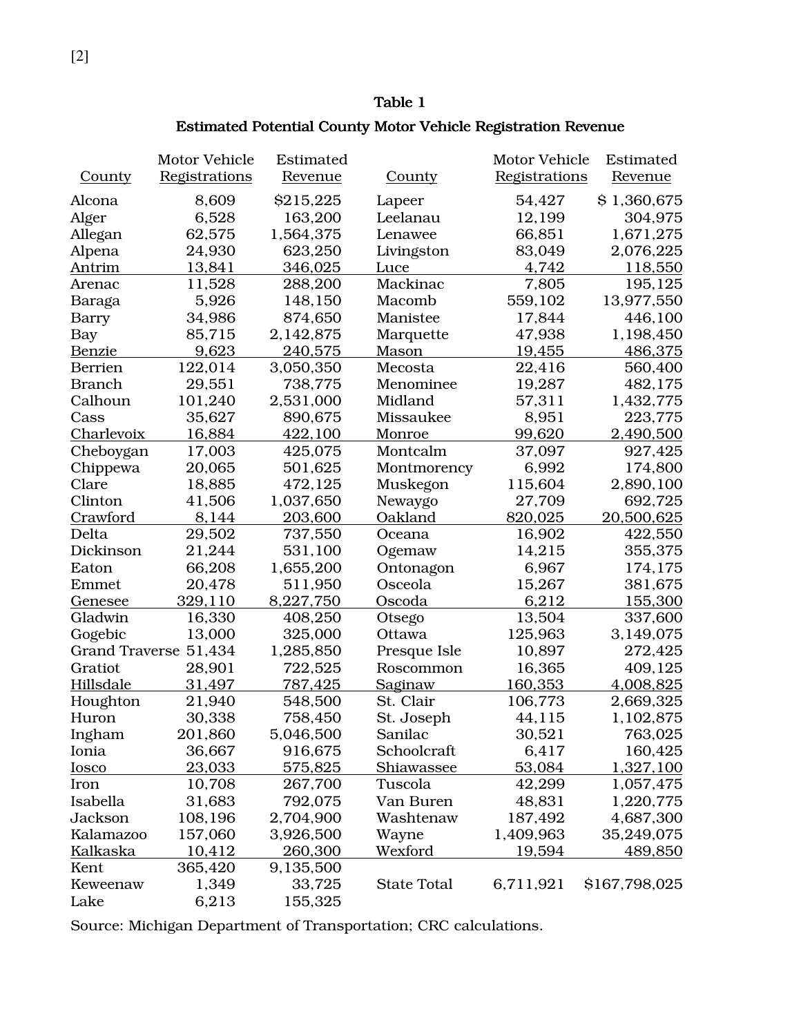#### Table 1

#### Estimated Potential County Motor Vehicle Registration Revenue

|                       | Motor Vehicle | Estimated      |                    |               | Estimated      |
|-----------------------|---------------|----------------|--------------------|---------------|----------------|
| <b>County</b>         | Registrations | <u>Revenue</u> | <b>County</b>      | Registrations | <u>Revenue</u> |
| Alcona                | 8,609         | \$215,225      | Lapeer             | 54,427        | \$1,360,675    |
| Alger                 | 6,528         | 163,200        | Leelanau           | 12,199        | 304,975        |
| Allegan               | 62,575        | 1,564,375      | Lenawee            | 66,851        | 1,671,275      |
| Alpena                | 24,930        | 623,250        | Livingston         | 83,049        | 2,076,225      |
| Antrim                | 13,841        | 346,025        | Luce               | 4,742         | 118,550        |
| Arenac                | 11,528        | 288,200        | Mackinac           | 7,805         | 195,125        |
| Baraga                | 5,926         | 148,150        | Macomb             | 559,102       | 13,977,550     |
| Barry                 | 34,986        | 874,650        | Manistee           | 17,844        | 446,100        |
| <b>Bay</b>            | 85,715        | 2,142,875      | Marquette          | 47,938        | 1,198,450      |
| <u>Benzie</u>         | 9,623         | 240,575        | Mason              | 19,455        | 486,375        |
| <b>Berrien</b>        | 122,014       | 3,050,350      | Mecosta            | 22,416        | 560,400        |
| <b>Branch</b>         | 29,551        | 738,775        | Menominee          | 19,287        | 482,175        |
| Calhoun               | 101,240       | 2,531,000      | Midland            | 57,311        | 1,432,775      |
| Cass                  | 35,627        | 890,675        | Missaukee          | 8,951         | 223,775        |
| Charlevoix            | 16,884        | 422,100        | Monroe             | 99,620        | 2,490,500      |
| Cheboygan             | 17,003        | 425,075        | Montcalm           | 37,097        | 927,425        |
| Chippewa              | 20,065        | 501,625        | Montmorency        | 6,992         | 174,800        |
| Clare                 | 18,885        | 472,125        | Muskegon           | 115,604       | 2,890,100      |
| Clinton               | 41,506        | 1,037,650      | Newaygo            | 27,709        | 692,725        |
| Crawford              | 8,144         | 203,600        | Oakland            | 820,025       | 20,500,625     |
| Delta                 | 29,502        | 737,550        | Oceana             | 16,902        | 422,550        |
| Dickinson             | 21,244        | 531,100        | Ogemaw             | 14,215        | 355,375        |
| Eaton                 | 66,208        | 1,655,200      | Ontonagon          | 6,967         | 174,175        |
| Emmet                 | 20,478        | 511,950        | Osceola            | 15,267        | 381,675        |
| <u>Genesee</u>        | 329,110       | 8,227,750      | Oscoda             | 6,212         | 155,300        |
| Gladwin               | 16,330        | 408,250        | Otsego             | 13,504        | 337,600        |
| Gogebic               | 13,000        | 325,000        | Ottawa             | 125,963       | 3,149,075      |
| Grand Traverse 51,434 |               | 1,285,850      | Presque Isle       | 10,897        | 272,425        |
| Gratiot               | 28,901        | 722,525        | Roscommon          | 16,365        | 409,125        |
| <b>Hillsdale</b>      | 31,497        | 787,425        | Saginaw            | 160,353       | 4,008,825      |
| Houghton              | 21,940        | 548,500        | St. Clair          | 106,773       | 2,669,325      |
| Huron                 | 30,338        | 758,450        | St. Joseph         | 44,115        | 1,102,875      |
| Ingham                | 201,860       | 5,046,500      | Sanilac            | 30,521        | 763,025        |
| Ionia                 | 36,667        | 916,675        | Schoolcraft        | 6,417         | 160,425        |
| <b>Iosco</b>          | 23,033        | 575,825        | Shiawassee         | 53,084        | 1,327,100      |
| Iron                  | 10,708        | 267,700        | Tuscola            | 42,299        | 1,057,475      |
| Isabella              | 31,683        | 792,075        | Van Buren          | 48,831        | 1,220,775      |
| Jackson               | 108,196       | 2,704,900      | Washtenaw          | 187,492       | 4,687,300      |
| Kalamazoo             | 157,060       | 3,926,500      | Wayne              | 1,409,963     | 35,249,075     |
| Kalkaska              | 10,412        | 260,300        | Wexford            | 19,594        | 489,850        |
| Kent                  | 365,420       | 9,135,500      |                    |               |                |
| Keweenaw              | 1,349         | 33,725         | <b>State Total</b> | 6,711,921     | \$167,798,025  |
| Lake                  | 6,213         | 155,325        |                    |               |                |

Source: Michigan Department of Transportation; CRC calculations.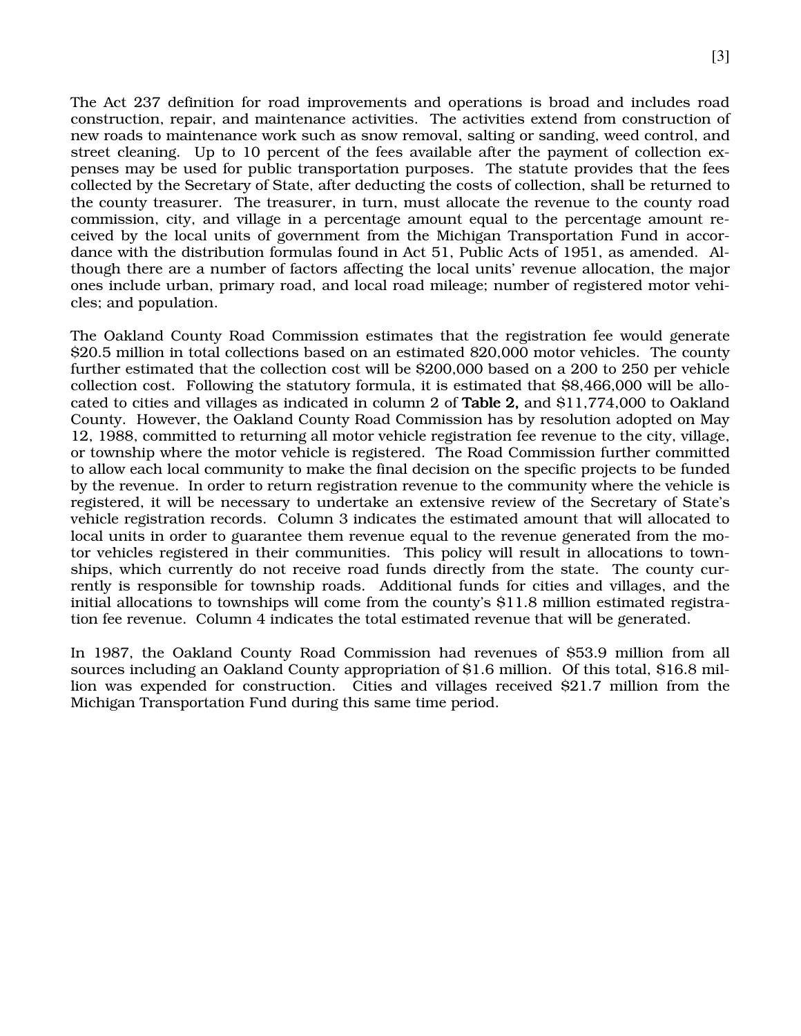The Act 237 definition for road improvements and operations is broad and includes road construction, repair, and maintenance activities. The activities extend from construction of new roads to maintenance work such as snow removal, salting or sanding, weed control, and street cleaning. Up to 10 percent of the fees available after the payment of collection expenses may be used for public transportation purposes. The statute provides that the fees collected by the Secretary of State, after deducting the costs of collection, shall be returned to the county treasurer. The treasurer, in turn, must allocate the revenue to the county road commission, city, and village in a percentage amount equal to the percentage amount received by the local units of government from the Michigan Transportation Fund in accordance with the distribution formulas found in Act 51, Public Acts of 1951, as amended. Although there are a number of factors affecting the local units' revenue allocation, the major ones include urban, primary road, and local road mileage; number of registered motor vehicles; and population.

The Oakland County Road Commission estimates that the registration fee would generate \$20.5 million in total collections based on an estimated 820,000 motor vehicles. The county further estimated that the collection cost will be \$200,000 based on a 200 to 250 per vehicle collection cost. Following the statutory formula, it is estimated that \$8,466,000 will be allocated to cities and villages as indicated in column 2 of Table 2, and \$11,774,000 to Oakland County. However, the Oakland County Road Commission has by resolution adopted on May 12, 1988, committed to returning all motor vehicle registration fee revenue to the city, village, or township where the motor vehicle is registered. The Road Commission further committed to allow each local community to make the final decision on the specific projects to be funded by the revenue. In order to return registration revenue to the community where the vehicle is registered, it will be necessary to undertake an extensive review of the Secretary of State's vehicle registration records. Column 3 indicates the estimated amount that will allocated to local units in order to guarantee them revenue equal to the revenue generated from the motor vehicles registered in their communities. This policy will result in allocations to townships, which currently do not receive road funds directly from the state. The county currently is responsible for township roads. Additional funds for cities and villages, and the initial allocations to townships will come from the county's \$11.8 million estimated registration fee revenue. Column 4 indicates the total estimated revenue that will be generated.

In 1987, the Oakland County Road Commission had revenues of \$53.9 million from all sources including an Oakland County appropriation of \$1.6 million. Of this total, \$16.8 million was expended for construction. Cities and villages received \$21.7 million from the Michigan Transportation Fund during this same time period.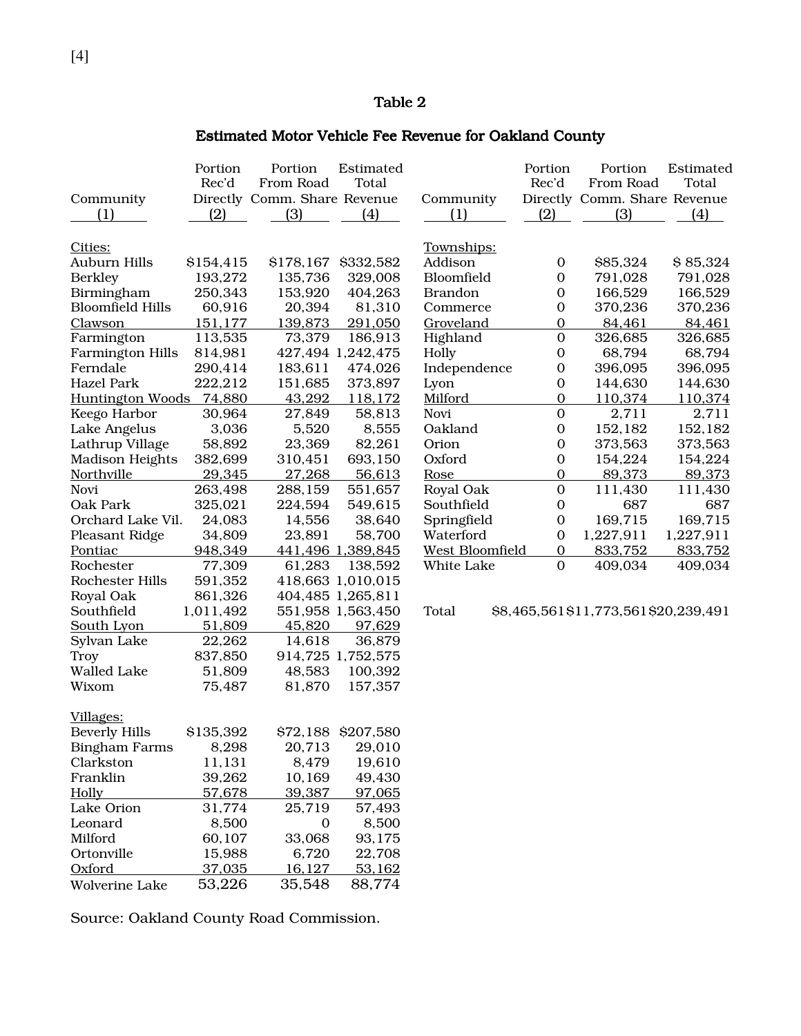#### Table 2

### Estimated Motor Vehicle Fee Revenue for Oakland County

| Community<br>(1)        | Portion<br>Rec'd<br>(2) | Portion<br>From Road<br>Directly Comm. Share Revenue<br>(3) | Estimated<br>Total<br>(4) | Community<br>(1)       | Portion<br>Rec'd<br>(2) | Portion<br>From Road<br>Directly Comm. Share Revenue<br>(3) | Estimated<br>Total<br>(4) |
|-------------------------|-------------------------|-------------------------------------------------------------|---------------------------|------------------------|-------------------------|-------------------------------------------------------------|---------------------------|
| Cities:                 |                         |                                                             |                           | Townships:             |                         |                                                             |                           |
| Auburn Hills            | \$154,415               | \$178,167                                                   | \$332,582                 | Addison                | $\mathbf 0$             | \$85,324                                                    | \$85,324                  |
| <b>Berkley</b>          | 193,272                 | 135,736                                                     | 329,008                   | Bloomfield             | $\boldsymbol{0}$        | 791,028                                                     | 791,028                   |
| Birmingham              | 250,343                 | 153,920                                                     | 404,263                   | <b>Brandon</b>         | $\boldsymbol{0}$        | 166,529                                                     | 166,529                   |
| <b>Bloomfield Hills</b> | 60,916                  | 20,394                                                      | 81,310                    | Commerce               | $\boldsymbol{0}$        | 370,236                                                     | 370,236                   |
| <b>Clawson</b>          | 151,177                 | 139,873                                                     | 291,050                   | Groveland              | $\mathbf 0$             | 84,461                                                      | 84,461                    |
| Farmington              | 113,535                 | 73,379                                                      | 186,913                   | Highland               | $\boldsymbol{0}$        | 326,685                                                     | 326,685                   |
| <b>Farmington Hills</b> | 814,981                 |                                                             | 427,494 1,242,475         | Holly                  | $\mathbf 0$             | 68,794                                                      | 68,794                    |
| Ferndale                | 290,414                 | 183,611                                                     | 474,026                   | Independence           | $\mathbf 0$             | 396,095                                                     | 396,095                   |
| <b>Hazel Park</b>       | 222,212                 | 151,685                                                     | 373,897                   | Lyon                   | $\boldsymbol{0}$        | 144,630                                                     | 144,630                   |
| <b>Huntington Woods</b> | 74,880                  | 43,292                                                      | 118,172                   | Milford                | $\overline{0}$          | 110,374                                                     | 110,374                   |
| Keego Harbor            | 30,964                  | 27,849                                                      | 58,813                    | Novi                   | $\mathbf 0$             | 2,711                                                       | 2,711                     |
| Lake Angelus            | 3,036                   | 5,520                                                       | 8,555                     | Oakland                | $\boldsymbol{0}$        | 152,182                                                     | 152,182                   |
| Lathrup Village         | 58,892                  | 23,369                                                      | 82,261                    | Orion                  | $\boldsymbol{0}$        | 373,563                                                     | 373,563                   |
| Madison Heights         | 382,699                 | 310,451                                                     | 693,150                   | Oxford                 | $\boldsymbol{0}$        | 154,224                                                     | 154,224                   |
| Northville              | 29,345                  | 27,268                                                      | 56,613                    | Rose                   | $\mathbf 0$             | 89,373                                                      | 89,373                    |
| Novi                    | 263,498                 | 288,159                                                     | 551,657                   | Royal Oak              | $\mathbf{0}$            | 111,430                                                     | 111,430                   |
| Oak Park                | 325,021                 | 224,594                                                     | 549,615                   | Southfield             | $\boldsymbol{0}$        | 687                                                         | 687                       |
| Orchard Lake Vil.       | 24,083                  | 14,556                                                      | 38,640                    | Springfield            | $\boldsymbol{0}$        | 169,715                                                     | 169,715                   |
| Pleasant Ridge          | 34,809                  | 23,891                                                      | 58,700                    | Waterford              | $\boldsymbol{0}$        | 1,227,911                                                   | 1,227,911                 |
| Pontiac                 | 948,349                 |                                                             | 441,496 1,389,845         | <b>West Bloomfield</b> | $\mathbf 0$             | 833,752                                                     | 833,752                   |
| Rochester               | 77,309                  | 61,283                                                      | 138,592                   | White Lake             | $\mathbf{0}$            | 409,034                                                     | 409,034                   |
| Rochester Hills         | 591,352                 |                                                             | 418,663 1,010,015         |                        |                         |                                                             |                           |
| Royal Oak               | 861,326                 |                                                             | 404,485 1,265,811         |                        |                         |                                                             |                           |
| Southfield              | 1,011,492               |                                                             | 551,958 1,563,450         | Total                  |                         | \$8,465,561\$11,773,561\$20,239,491                         |                           |
| South Lyon              | 51,809                  | 45,820                                                      | 97,629                    |                        |                         |                                                             |                           |
| Sylvan Lake             | 22,262                  | 14,618                                                      | 36,879                    |                        |                         |                                                             |                           |
| Troy                    | 837,850                 |                                                             | 914,725 1,752,575         |                        |                         |                                                             |                           |
| Walled Lake             | 51,809                  | 48,583                                                      | 100,392                   |                        |                         |                                                             |                           |
| Wixom                   | 75,487                  | 81,870                                                      | 157,357                   |                        |                         |                                                             |                           |
| Villages:               |                         |                                                             |                           |                        |                         |                                                             |                           |
| <b>Beverly Hills</b>    | \$135,392               |                                                             | \$72,188 \$207,580        |                        |                         |                                                             |                           |
| <b>Bingham Farms</b>    | 8,298                   | 20,713                                                      | 29,010                    |                        |                         |                                                             |                           |
| Clarkston               | 11,131                  | 8,479                                                       | 19,610                    |                        |                         |                                                             |                           |
| Franklin                | 39,262                  | 10,169                                                      | 49,430                    |                        |                         |                                                             |                           |
| <b>Holly</b>            | 57,678                  | 39,387                                                      | 97,065                    |                        |                         |                                                             |                           |
| Lake Orion              | 31,774                  | 25,719                                                      | 57,493                    |                        |                         |                                                             |                           |
| Leonard                 | 8,500                   | $\mathbf 0$                                                 | 8,500                     |                        |                         |                                                             |                           |
| Milford                 | 60,107                  | 33,068                                                      | 93,175                    |                        |                         |                                                             |                           |
| Ortonville              | 15,988                  | 6,720                                                       | 22,708                    |                        |                         |                                                             |                           |
| Oxford                  | 37,035                  | 16,127                                                      | 53,162                    |                        |                         |                                                             |                           |
| Wolverine Lake          | 53,226                  | 35,548                                                      | 88,774                    |                        |                         |                                                             |                           |

Source: Oakland County Road Commission.